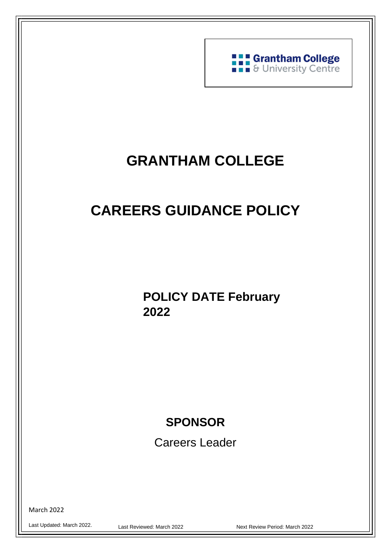

# **GRANTHAM COLLEGE**

# **CAREERS GUIDANCE POLICY**

**POLICY DATE February 2022**

# **SPONSOR**

Careers Leader

March 2022

Last Updated: March 2022.

 $\overline{a}$ 

Last Reviewed: March 2022 **Next Review Period: March 2022** 

1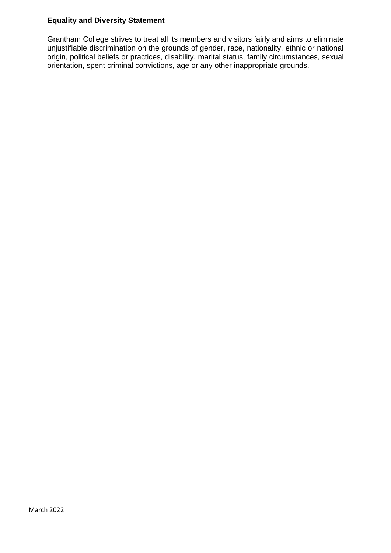### **Equality and Diversity Statement**

Grantham College strives to treat all its members and visitors fairly and aims to eliminate unjustifiable discrimination on the grounds of gender, race, nationality, ethnic or national origin, political beliefs or practices, disability, marital status, family circumstances, sexual orientation, spent criminal convictions, age or any other inappropriate grounds.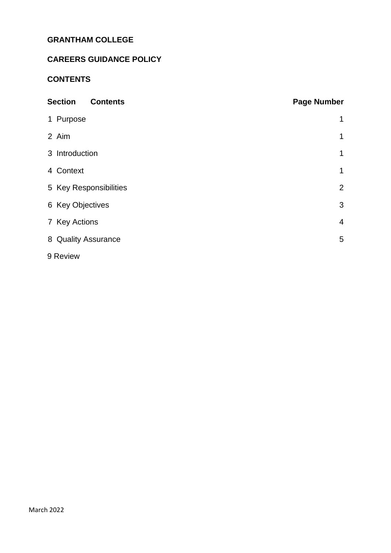# **GRANTHAM COLLEGE**

# **CAREERS GUIDANCE POLICY**

# **CONTENTS**

| <b>Section</b><br><b>Contents</b> | <b>Page Number</b> |
|-----------------------------------|--------------------|
| 1 Purpose                         | 1                  |
| 2 Aim                             | 1                  |
| 3 Introduction                    | 1                  |
| 4 Context                         | $\mathbf 1$        |
| 5 Key Responsibilities            | $\overline{2}$     |
| 6 Key Objectives                  | 3                  |
| 7 Key Actions                     | $\overline{4}$     |
| 8 Quality Assurance               | 5                  |
| 9 Review                          |                    |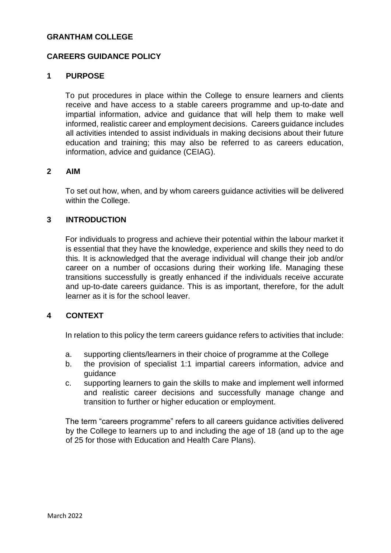#### **GRANTHAM COLLEGE**

#### **CAREERS GUIDANCE POLICY**

#### <span id="page-3-0"></span>**1 PURPOSE**

To put procedures in place within the College to ensure learners and clients receive and have access to a stable careers programme and up-to-date and impartial information, advice and guidance that will help them to make well informed, realistic career and employment decisions. Careers guidance includes all activities intended to assist individuals in making decisions about their future education and training; this may also be referred to as careers education, information, advice and guidance (CEIAG).

#### <span id="page-3-1"></span>**2 AIM**

To set out how, when, and by whom careers guidance activities will be delivered within the College.

#### <span id="page-3-2"></span>**3 INTRODUCTION**

For individuals to progress and achieve their potential within the labour market it is essential that they have the knowledge, experience and skills they need to do this. It is acknowledged that the average individual will change their job and/or career on a number of occasions during their working life. Managing these transitions successfully is greatly enhanced if the individuals receive accurate and up-to-date careers guidance. This is as important, therefore, for the adult learner as it is for the school leaver.

#### <span id="page-3-3"></span>**4 CONTEXT**

In relation to this policy the term careers guidance refers to activities that include:

- a. supporting clients/learners in their choice of programme at the College
- b. the provision of specialist 1:1 impartial careers information, advice and guidance
- c. supporting learners to gain the skills to make and implement well informed and realistic career decisions and successfully manage change and transition to further or higher education or employment.

The term "careers programme" refers to all careers guidance activities delivered by the College to learners up to and including the age of 18 (and up to the age of 25 for those with Education and Health Care Plans).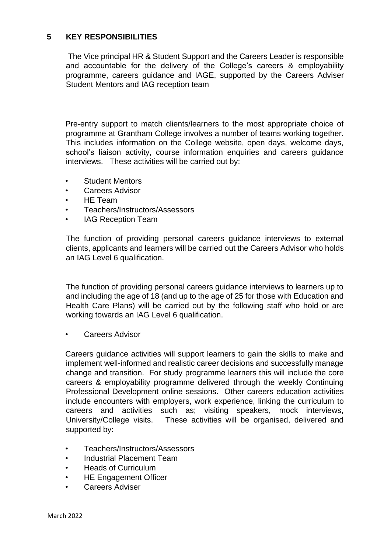# <span id="page-4-0"></span>**5 KEY RESPONSIBILITIES**

The Vice principal HR & Student Support and the Careers Leader is responsible and accountable for the delivery of the College's careers & employability programme, careers guidance and IAGE, supported by the Careers Adviser Student Mentors and IAG reception team

Pre-entry support to match clients/learners to the most appropriate choice of programme at Grantham College involves a number of teams working together. This includes information on the College website, open days, welcome days, school's liaison activity, course information enquiries and careers guidance interviews. These activities will be carried out by:

- Student Mentors
- Careers Advisor
- HE Team
- Teachers/Instructors/Assessors
- IAG Reception Team

The function of providing personal careers guidance interviews to external clients, applicants and learners will be carried out the Careers Advisor who holds an IAG Level 6 qualification.

The function of providing personal careers guidance interviews to learners up to and including the age of 18 (and up to the age of 25 for those with Education and Health Care Plans) will be carried out by the following staff who hold or are working towards an IAG Level 6 qualification.

Careers Advisor

Careers guidance activities will support learners to gain the skills to make and implement well-informed and realistic career decisions and successfully manage change and transition. For study programme learners this will include the core careers & employability programme delivered through the weekly Continuing Professional Development online sessions. Other careers education activities include encounters with employers, work experience, linking the curriculum to careers and activities such as; visiting speakers, mock interviews, University/College visits. These activities will be organised, delivered and supported by:

- Teachers/Instructors/Assessors
- Industrial Placement Team
- Heads of Curriculum
- **HE Engagement Officer**
- Careers Adviser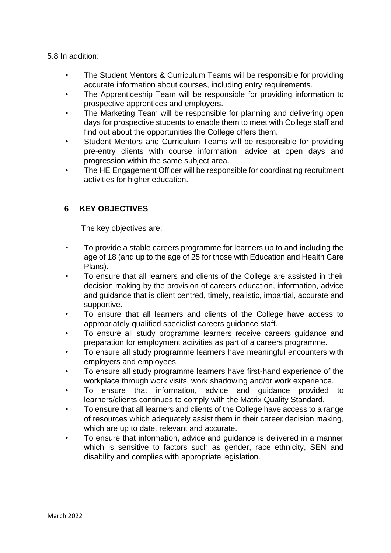5.8 In addition:

- The Student Mentors & Curriculum Teams will be responsible for providing accurate information about courses, including entry requirements.
- The Apprenticeship Team will be responsible for providing information to prospective apprentices and employers.
- The Marketing Team will be responsible for planning and delivering open days for prospective students to enable them to meet with College staff and find out about the opportunities the College offers them.
- Student Mentors and Curriculum Teams will be responsible for providing pre-entry clients with course information, advice at open days and progression within the same subject area.
- The HE Engagement Officer will be responsible for coordinating recruitment activities for higher education.

# <span id="page-5-0"></span> **6 KEY OBJECTIVES**

The key objectives are:

- To provide a stable careers programme for learners up to and including the age of 18 (and up to the age of 25 for those with Education and Health Care Plans).
- To ensure that all learners and clients of the College are assisted in their decision making by the provision of careers education, information, advice and guidance that is client centred, timely, realistic, impartial, accurate and supportive.
- To ensure that all learners and clients of the College have access to appropriately qualified specialist careers guidance staff.
- To ensure all study programme learners receive careers guidance and preparation for employment activities as part of a careers programme.
- To ensure all study programme learners have meaningful encounters with employers and employees.
- To ensure all study programme learners have first-hand experience of the workplace through work visits, work shadowing and/or work experience.
- To ensure that information, advice and guidance provided to learners/clients continues to comply with the Matrix Quality Standard.
- To ensure that all learners and clients of the College have access to a range of resources which adequately assist them in their career decision making, which are up to date, relevant and accurate.
- <span id="page-5-1"></span>• To ensure that information, advice and guidance is delivered in a manner which is sensitive to factors such as gender, race ethnicity, SEN and disability and complies with appropriate legislation.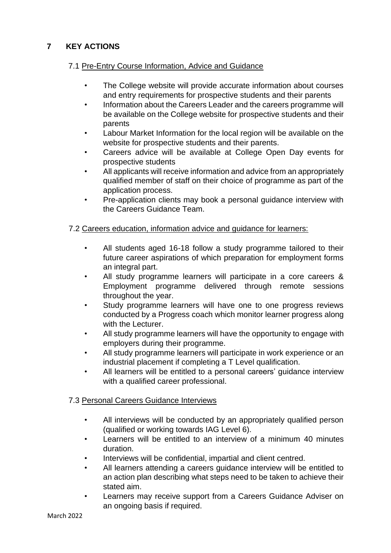# **7 KEY ACTIONS**

# 7.1 Pre-Entry Course Information, Advice and Guidance

- The College website will provide accurate information about courses and entry requirements for prospective students and their parents
- Information about the Careers Leader and the careers programme will be available on the College website for prospective students and their parents
- Labour Market Information for the local region will be available on the website for prospective students and their parents.
- Careers advice will be available at College Open Day events for prospective students
- All applicants will receive information and advice from an appropriately qualified member of staff on their choice of programme as part of the application process.
- Pre-application clients may book a personal guidance interview with the Careers Guidance Team.

### 7.2 Careers education, information advice and guidance for learners:

- All students aged 16-18 follow a study programme tailored to their future career aspirations of which preparation for employment forms an integral part.
- All study programme learners will participate in a core careers & Employment programme delivered through remote sessions throughout the year.
- Study programme learners will have one to one progress reviews conducted by a Progress coach which monitor learner progress along with the Lecturer.
- All study programme learners will have the opportunity to engage with employers during their programme.
- All study programme learners will participate in work experience or an industrial placement if completing a T Level qualification.
- All learners will be entitled to a personal careers' guidance interview with a qualified career professional.

# 7.3 Personal Careers Guidance Interviews

- All interviews will be conducted by an appropriately qualified person (qualified or working towards IAG Level 6).
- Learners will be entitled to an interview of a minimum 40 minutes duration.
- Interviews will be confidential, impartial and client centred.
- All learners attending a careers guidance interview will be entitled to an action plan describing what steps need to be taken to achieve their stated aim.
- Learners may receive support from a Careers Guidance Adviser on an ongoing basis if required.